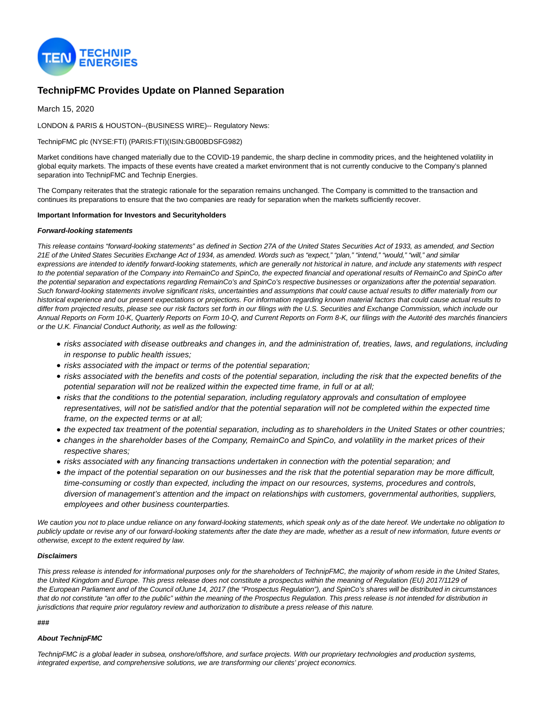

# **TechnipFMC Provides Update on Planned Separation**

March 15, 2020

LONDON & PARIS & HOUSTON--(BUSINESS WIRE)-- Regulatory News:

TechnipFMC plc (NYSE:FTI) (PARIS:FTI)(ISIN:GB00BDSFG982)

Market conditions have changed materially due to the COVID-19 pandemic, the sharp decline in commodity prices, and the heightened volatility in global equity markets. The impacts of these events have created a market environment that is not currently conducive to the Company's planned separation into TechnipFMC and Technip Energies.

The Company reiterates that the strategic rationale for the separation remains unchanged. The Company is committed to the transaction and continues its preparations to ensure that the two companies are ready for separation when the markets sufficiently recover.

### **Important Information for Investors and Securityholders**

### **Forward-looking statements**

This release contains "forward-looking statements" as defined in Section 27A of the United States Securities Act of 1933, as amended, and Section 21E of the United States Securities Exchange Act of 1934, as amended. Words such as "expect," "plan," "intend," "would," "will," and similar expressions are intended to identify forward-looking statements, which are generally not historical in nature, and include any statements with respect to the potential separation of the Company into RemainCo and SpinCo, the expected financial and operational results of RemainCo and SpinCo after the potential separation and expectations regarding RemainCo's and SpinCo's respective businesses or organizations after the potential separation. Such forward-looking statements involve significant risks, uncertainties and assumptions that could cause actual results to differ materially from our historical experience and our present expectations or projections. For information regarding known material factors that could cause actual results to differ from projected results, please see our risk factors set forth in our filings with the U.S. Securities and Exchange Commission, which include our Annual Reports on Form 10-K, Quarterly Reports on Form 10-Q, and Current Reports on Form 8-K, our filings with the Autorité des marchés financiers or the U.K. Financial Conduct Authority, as well as the following:

- risks associated with disease outbreaks and changes in, and the administration of, treaties, laws, and regulations, including in response to public health issues;
- risks associated with the impact or terms of the potential separation;
- risks associated with the benefits and costs of the potential separation, including the risk that the expected benefits of the potential separation will not be realized within the expected time frame, in full or at all;
- risks that the conditions to the potential separation, including regulatory approvals and consultation of employee representatives, will not be satisfied and/or that the potential separation will not be completed within the expected time frame, on the expected terms or at all;
- the expected tax treatment of the potential separation, including as to shareholders in the United States or other countries;
- changes in the shareholder bases of the Company, RemainCo and SpinCo, and volatility in the market prices of their respective shares;
- risks associated with any financing transactions undertaken in connection with the potential separation; and
- the impact of the potential separation on our businesses and the risk that the potential separation may be more difficult, time-consuming or costly than expected, including the impact on our resources, systems, procedures and controls, diversion of management's attention and the impact on relationships with customers, governmental authorities, suppliers, employees and other business counterparties.

We caution you not to place undue reliance on any forward-looking statements, which speak only as of the date hereof. We undertake no obligation to publicly update or revise any of our forward-looking statements after the date they are made, whether as a result of new information, future events or otherwise, except to the extent required by law.

### **Disclaimers**

This press release is intended for informational purposes only for the shareholders of TechnipFMC, the majority of whom reside in the United States, the United Kingdom and Europe. This press release does not constitute a prospectus within the meaning of Regulation (EU) 2017/1129 of the European Parliament and of the Council ofJune 14, 2017 (the "Prospectus Regulation"), and SpinCo's shares will be distributed in circumstances that do not constitute "an offer to the public" within the meaning of the Prospectus Regulation. This press release is not intended for distribution in jurisdictions that require prior regulatory review and authorization to distribute a press release of this nature.

### **###**

## **About TechnipFMC**

TechnipFMC is a global leader in subsea, onshore/offshore, and surface projects. With our proprietary technologies and production systems, integrated expertise, and comprehensive solutions, we are transforming our clients' project economics.